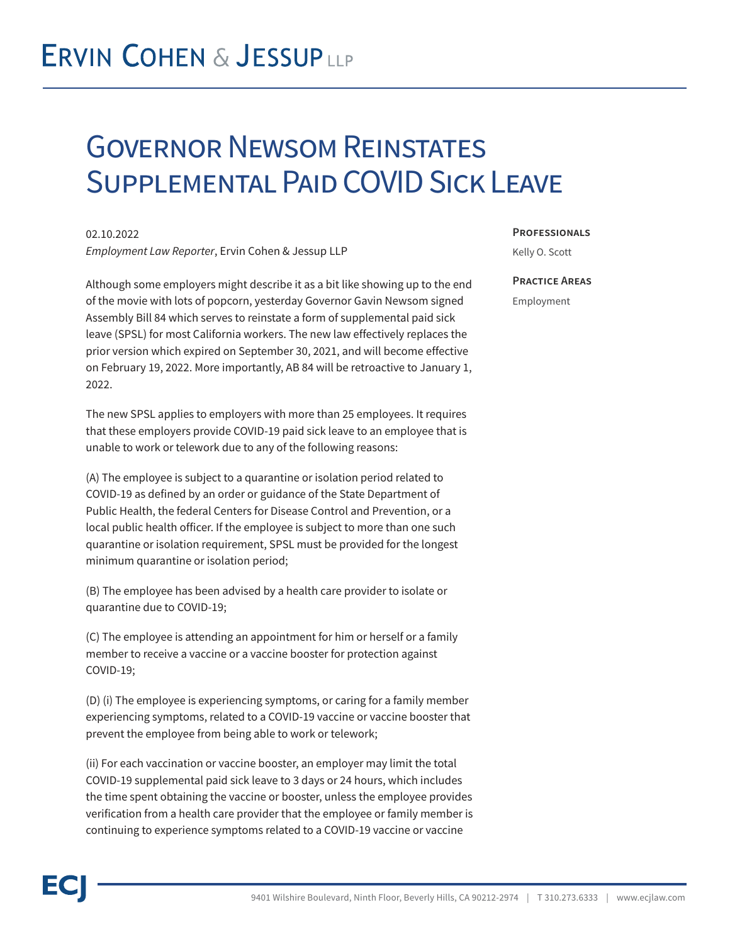## **ERVIN COHEN & JESSUPLLP**

### Governor Newsom Reinstates Supplemental Paid COVID Sick Leave

02.10.2022 *Employment Law Reporter*, Ervin Cohen & Jessup LLP

Although some employers might describe it as a bit like showing up to the end of the movie with lots of popcorn, yesterday Governor Gavin Newsom signed Assembly Bill 84 which serves to reinstate a form of supplemental paid sick leave (SPSL) for most California workers. The new law effectively replaces the prior version which expired on September 30, 2021, and will become effective on February 19, 2022. More importantly, AB 84 will be retroactive to January 1, 2022.

The new SPSL applies to employers with more than 25 employees. It requires that these employers provide COVID-19 paid sick leave to an employee that is unable to work or telework due to any of the following reasons:

(A) The employee is subject to a quarantine or isolation period related to COVID-19 as defined by an order or guidance of the State Department of Public Health, the federal Centers for Disease Control and Prevention, or a local public health officer. If the employee is subject to more than one such quarantine or isolation requirement, SPSL must be provided for the longest minimum quarantine or isolation period;

(B) The employee has been advised by a health care provider to isolate or quarantine due to COVID-19;

(C) The employee is attending an appointment for him or herself or a family member to receive a vaccine or a vaccine booster for protection against COVID-19;

(D) (i) The employee is experiencing symptoms, or caring for a family member experiencing symptoms, related to a COVID-19 vaccine or vaccine booster that prevent the employee from being able to work or telework;

(ii) For each vaccination or vaccine booster, an employer may limit the total COVID-19 supplemental paid sick leave to 3 days or 24 hours, which includes the time spent obtaining the vaccine or booster, unless the employee provides verification from a health care provider that the employee or family member is continuing to experience symptoms related to a COVID-19 vaccine or vaccine

#### **Professionals**

Kelly O. Scott

#### **Practice Areas**

Employment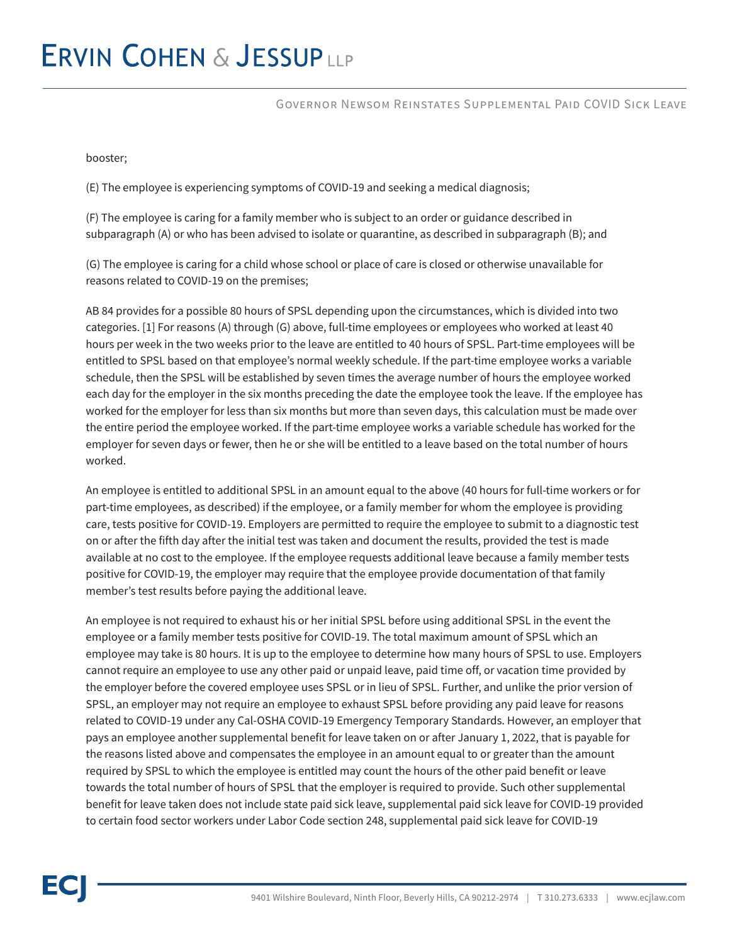## **ERVIN COHEN & JESSUPLLP**

#### Governor Newsom Reinstates Supplemental Paid COVID Sick Leave

booster;

(E) The employee is experiencing symptoms of COVID-19 and seeking a medical diagnosis;

(F) The employee is caring for a family member who is subject to an order or guidance described in subparagraph (A) or who has been advised to isolate or quarantine, as described in subparagraph (B); and

(G) The employee is caring for a child whose school or place of care is closed or otherwise unavailable for reasons related to COVID-19 on the premises;

AB 84 provides for a possible 80 hours of SPSL depending upon the circumstances, which is divided into two categories. [1] For reasons (A) through (G) above, full-time employees or employees who worked at least 40 hours per week in the two weeks prior to the leave are entitled to 40 hours of SPSL. Part-time employees will be entitled to SPSL based on that employee's normal weekly schedule. If the part-time employee works a variable schedule, then the SPSL will be established by seven times the average number of hours the employee worked each day for the employer in the six months preceding the date the employee took the leave. If the employee has worked for the employer for less than six months but more than seven days, this calculation must be made over the entire period the employee worked. If the part-time employee works a variable schedule has worked for the employer for seven days or fewer, then he or she will be entitled to a leave based on the total number of hours worked.

An employee is entitled to additional SPSL in an amount equal to the above (40 hours for full-time workers or for part-time employees, as described) if the employee, or a family member for whom the employee is providing care, tests positive for COVID-19. Employers are permitted to require the employee to submit to a diagnostic test on or after the fifth day after the initial test was taken and document the results, provided the test is made available at no cost to the employee. If the employee requests additional leave because a family member tests positive for COVID-19, the employer may require that the employee provide documentation of that family member's test results before paying the additional leave.

An employee is not required to exhaust his or her initial SPSL before using additional SPSL in the event the employee or a family member tests positive for COVID-19. The total maximum amount of SPSL which an employee may take is 80 hours. It is up to the employee to determine how many hours of SPSL to use. Employers cannot require an employee to use any other paid or unpaid leave, paid time off, or vacation time provided by the employer before the covered employee uses SPSL or in lieu of SPSL. Further, and unlike the prior version of SPSL, an employer may not require an employee to exhaust SPSL before providing any paid leave for reasons related to COVID-19 under any Cal-OSHA COVID-19 Emergency Temporary Standards. However, an employer that pays an employee another supplemental benefit for leave taken on or after January 1, 2022, that is payable for the reasons listed above and compensates the employee in an amount equal to or greater than the amount required by SPSL to which the employee is entitled may count the hours of the other paid benefit or leave towards the total number of hours of SPSL that the employer is required to provide. Such other supplemental benefit for leave taken does not include state paid sick leave, supplemental paid sick leave for COVID-19 provided to certain food sector workers under Labor Code section 248, supplemental paid sick leave for COVID-19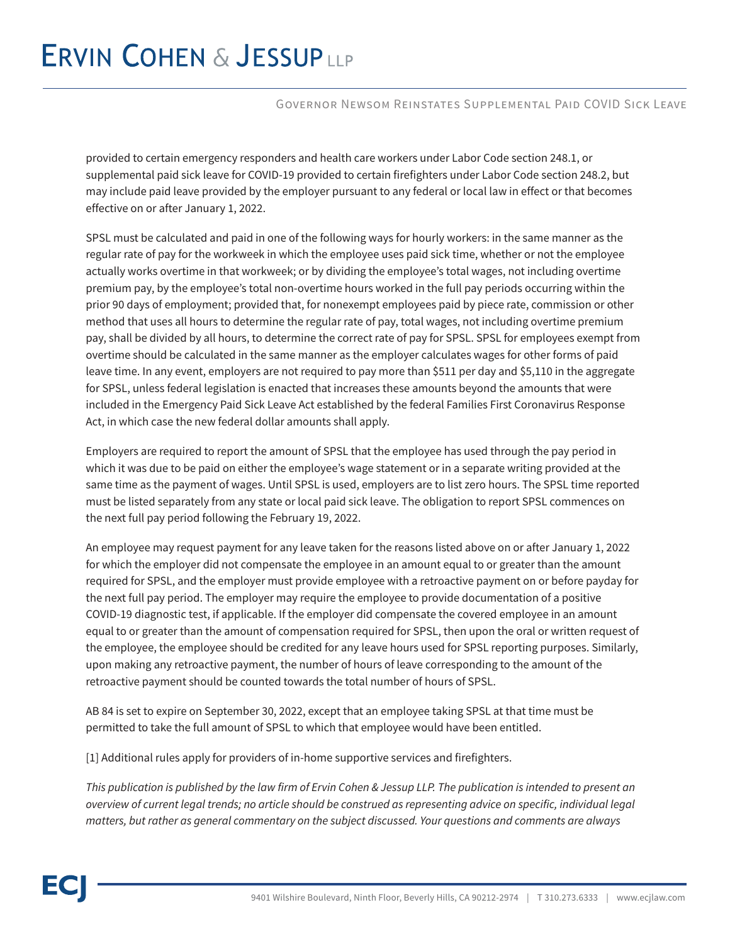# **ERVIN COHEN & JESSUPLLP**

#### Governor Newsom Reinstates Supplemental Paid COVID Sick Leave

provided to certain emergency responders and health care workers under Labor Code section 248.1, or supplemental paid sick leave for COVID-19 provided to certain firefighters under Labor Code section 248.2, but may include paid leave provided by the employer pursuant to any federal or local law in effect or that becomes effective on or after January 1, 2022.

SPSL must be calculated and paid in one of the following ways for hourly workers: in the same manner as the regular rate of pay for the workweek in which the employee uses paid sick time, whether or not the employee actually works overtime in that workweek; or by dividing the employee's total wages, not including overtime premium pay, by the employee's total non-overtime hours worked in the full pay periods occurring within the prior 90 days of employment; provided that, for nonexempt employees paid by piece rate, commission or other method that uses all hours to determine the regular rate of pay, total wages, not including overtime premium pay, shall be divided by all hours, to determine the correct rate of pay for SPSL. SPSL for employees exempt from overtime should be calculated in the same manner as the employer calculates wages for other forms of paid leave time. In any event, employers are not required to pay more than \$511 per day and \$5,110 in the aggregate for SPSL, unless federal legislation is enacted that increases these amounts beyond the amounts that were included in the Emergency Paid Sick Leave Act established by the federal Families First Coronavirus Response Act, in which case the new federal dollar amounts shall apply.

Employers are required to report the amount of SPSL that the employee has used through the pay period in which it was due to be paid on either the employee's wage statement or in a separate writing provided at the same time as the payment of wages. Until SPSL is used, employers are to list zero hours. The SPSL time reported must be listed separately from any state or local paid sick leave. The obligation to report SPSL commences on the next full pay period following the February 19, 2022.

An employee may request payment for any leave taken for the reasons listed above on or after January 1, 2022 for which the employer did not compensate the employee in an amount equal to or greater than the amount required for SPSL, and the employer must provide employee with a retroactive payment on or before payday for the next full pay period. The employer may require the employee to provide documentation of a positive COVID-19 diagnostic test, if applicable. If the employer did compensate the covered employee in an amount equal to or greater than the amount of compensation required for SPSL, then upon the oral or written request of the employee, the employee should be credited for any leave hours used for SPSL reporting purposes. Similarly, upon making any retroactive payment, the number of hours of leave corresponding to the amount of the retroactive payment should be counted towards the total number of hours of SPSL.

AB 84 is set to expire on September 30, 2022, except that an employee taking SPSL at that time must be permitted to take the full amount of SPSL to which that employee would have been entitled.

[1] Additional rules apply for providers of in-home supportive services and firefighters.

*This publication is published by the law firm of Ervin Cohen & Jessup LLP. The publication is intended to present an overview of current legal trends; no article should be construed as representing advice on specific, individual legal matters, but rather as general commentary on the subject discussed. Your questions and comments are always*